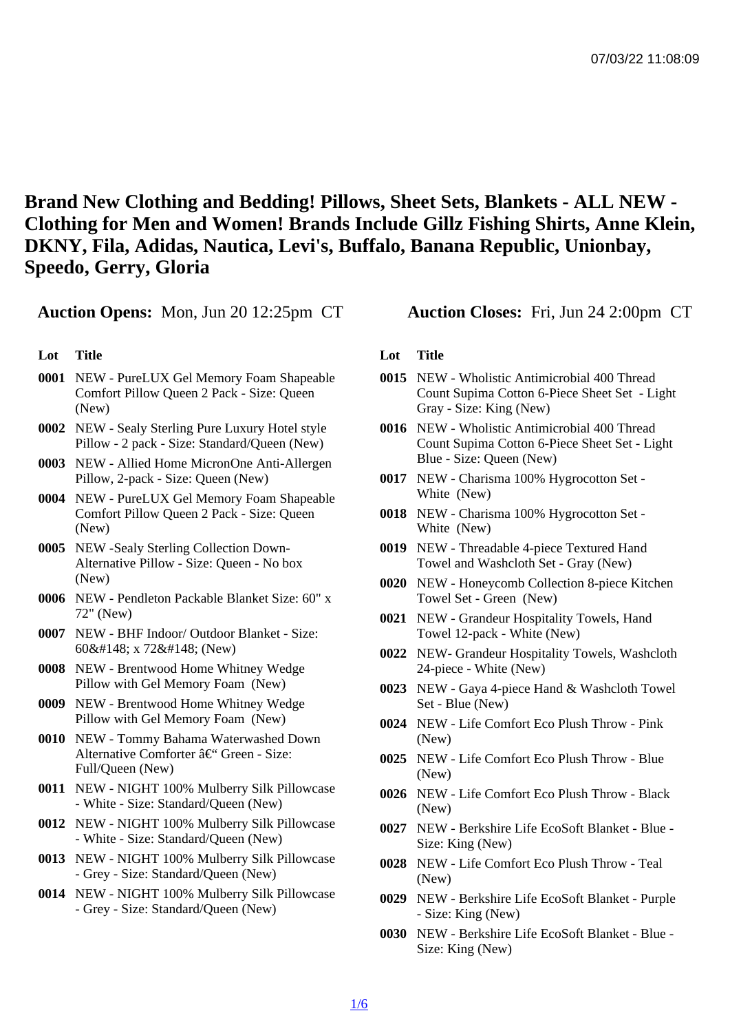Brand New Clothing and Bedding! Pillows, Sheet Sets, Blankets - ALL NEW - Clothing for Men and Women! Brands Include Gillz Fishing Shirts, Anne Klein, DKNY, Fila, Adidas, Nautica, Levi's, Buffalo, Banana Republic, Unionbay, Speedo, Gerry, Gloria

Auction Opens: Mon, Jun 20 12:25pm CT Auction Closes: Fri, Jun 24 2:00pm CT

- Lot Title
- 0001 NEW PureLUX Gel Memory Foam Shapeable Comfort Pillow Queen 2 Pack - Size: Queen (New)
- 0002 NEW Sealy Sterling Pure Luxury Hotel style Pillow - 2 pack - Size: Standard/Queen (New)
- 0003 NEW Allied Home MicronOne Anti-Allergen Pillow, 2-pack - Size: Queen (New)
- 0004 NEW PureLUX Gel Memory Foam Shapeable Comfort Pillow Queen 2 Pack - Size: Queen (New)
- 0005 NEW -Sealy Sterling Collection Down-Alternative Pillow - Size: Queen - No box (New)
- 0006 NEW Pendleton Packable Blanket Size: 60" x 72" (New)
- 0007 NEW BHF Indoor/ Outdoor Blanket Size: 60" x 72" (New)
- 0008 NEW Brentwood Home Whitney Wedge Pillow with Gel Memory Foam (New)
- 0009 NEW Brentwood Home Whitney Wedge Pillow with Gel Memory Foam (New)
- 0010 NEW Tommy Bahama Waterwashed Down Alternative Comforter – Green - Size: Full/Queen (New)
- 0011 NEW NIGHT 100% Mulberry Silk Pillowcase - White - Size: Standard/Queen (New)
- 0012 NEW NIGHT 100% Mulberry Silk Pillowcase - White - Size: Standard/Queen (New)
- 0013 NEW NIGHT 100% Mulberry Silk Pillowcase - Grey - Size: Standard/Queen (New)
- 0014 NEW NIGHT 100% Mulberry Silk Pillowcase - Grey - Size: Standard/Queen (New)

- Lot Title
- 0015 NEW Wholistic Antimicrobial 400 Thread Count Supima Cotton 6-Piece Sheet Set - Light Gray - Size: King (New)
- 0016 NEW Wholistic Antimicrobial 400 Thread Count Supima Cotton 6-Piece Sheet Set - Light Blue - Size: Queen (New)
- 0017 NEW Charisma 100% Hygrocotton Set White (New)
- 0018 NEW Charisma 100% Hygrocotton Set White (New)
- 0019 NEW Threadable 4-piece Textured Hand Towel and Washcloth Set - Gray (New)
- 0020 NEW Honeycomb Collection 8-piece Kitchen Towel Set - Green (New)
- 0021 NEW Grandeur Hospitality Towels, Hand Towel 12-pack - White (New)
- 0022 NEW- Grandeur Hospitality Towels, Washcloth 24-piece - White (New)
- 0023 NEW Gaya 4-piece Hand & Washcloth Towel Set - Blue (New)
- 0024 NEW Life Comfort Eco Plush Throw Pink (New)
- 0025 NEW Life Comfort Eco Plush Throw Blue (New)
- 0026 NEW Life Comfort Eco Plush Throw Black (New)
- 0027 NEW Berkshire Life EcoSoft Blanket Blue Size: King (New)
- 0028 NEW Life Comfort Eco Plush Throw Teal (New)
- 0029 NEW Berkshire Life EcoSoft Blanket Purple - Size: King (New)
- 0030 NEW Berkshire Life EcoSoft Blanket Blue Size: King (New)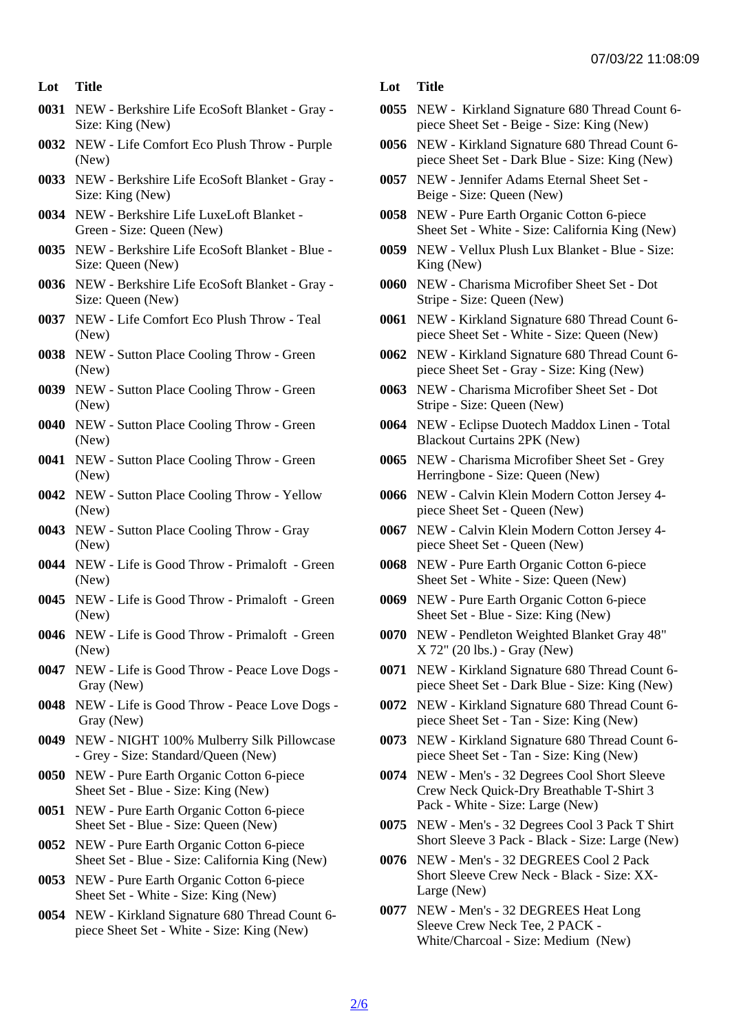- Lot Title
- 0031 NEW Berkshire Life EcoSoft Blanket Gray Size: King (New)
- 0032 NEW Life Comfort Eco Plush Throw Purple (New)
- 0033 NEW Berkshire Life EcoSoft Blanket Gray Size: King (New)
- 0034 NEW Berkshire Life LuxeLoft Blanket Green - Size: Queen (New)
- 0035 NEW Berkshire Life EcoSoft Blanket Blue Size: Queen (New)
- 0036 NEW Berkshire Life EcoSoft Blanket Gray Size: Queen (New)
- 0037 NEW Life Comfort Eco Plush Throw Teal (New)
- 0038 NEW Sutton Place Cooling Throw Green (New)
- 0039 NEW Sutton Place Cooling Throw Green (New)
- 0040 NEW Sutton Place Cooling Throw Green (New)
- 0041 NEW Sutton Place Cooling Throw Green (New)
- 0042 NEW Sutton Place Cooling Throw Yellow (New)
- 0043 NEW Sutton Place Cooling Throw Gray (New)
- 0044 NEW Life is Good Throw Primaloft Green (New)
- 0045 NEW Life is Good Throw Primaloft Green (New)
- 0046 NEW Life is Good Throw Primaloft Green (New)
- 0047 NEW Life is Good Throw Peace Love Dogs Gray (New)
- 0048 NEW Life is Good Throw Peace Love Dogs Gray (New)
- 0049 NEW NIGHT 100% Mulberry Silk Pillowcase - Grey - Size: Standard/Queen (New)
- 0050 NEW Pure Earth Organic Cotton 6-piece Sheet Set - Blue - Size: King (New)
- 0051 NEW Pure Earth Organic Cotton 6-piece Sheet Set - Blue - Size: Queen (New)
- 0052 NEW Pure Earth Organic Cotton 6-piece Sheet Set - Blue - Size: California King (New)
- 0053 NEW Pure Earth Organic Cotton 6-piece Sheet Set - White - Size: King (New)
- 0054 NEW Kirkland Signature 680 Thread Count 6 piece Sheet Set - White - Size: King (New)

Lot Title

- 0055 NEW Kirkland Signature 680 Thread Count 6 piece Sheet Set - Beige - Size: King (New)
- 0056 NEW Kirkland Signature 680 Thread Count 6 piece Sheet Set - Dark Blue - Size: King (New)
- 0057 NEW Jennifer Adams Eternal Sheet Set Beige - Size: Queen (New)
- 0058 NEW Pure Earth Organic Cotton 6-piece Sheet Set - White - Size: California King (New)
- 0059 NEW Vellux Plush Lux Blanket Blue Size: King (New)
- 0060 NEW Charisma Microfiber Sheet Set Dot Stripe - Size: Queen (New)
- 0061 NEW Kirkland Signature 680 Thread Count 6 piece Sheet Set - White - Size: Queen (New)
- 0062 NEW Kirkland Signature 680 Thread Count 6 piece Sheet Set - Gray - Size: King (New)
- 0063 NEW Charisma Microfiber Sheet Set Dot Stripe - Size: Queen (New)
- 0064 NEW Eclipse Duotech Maddox Linen Total Blackout Curtains 2PK (New)
- 0065 NEW Charisma Microfiber Sheet Set Grey Herringbone - Size: Queen (New)
- 0066 NEW Calvin Klein Modern Cotton Jersey 4 piece Sheet Set - Queen (New)
- 0067 NEW Calvin Klein Modern Cotton Jersey 4 piece Sheet Set - Queen (New)
- 0068 NEW Pure Earth Organic Cotton 6-piece Sheet Set - White - Size: Queen (New)
- 0069 NEW Pure Earth Organic Cotton 6-piece Sheet Set - Blue - Size: King (New)
- 0070 NEW Pendleton Weighted Blanket Gray 48" X 72" (20 lbs.) - Gray (New)
- 0071 NEW Kirkland Signature 680 Thread Count 6 piece Sheet Set - Dark Blue - Size: King (New)
- 0072 NEW Kirkland Signature 680 Thread Count 6 piece Sheet Set - Tan - Size: King (New)
- 0073 NEW Kirkland Signature 680 Thread Count 6 piece Sheet Set - Tan - Size: King (New)
- 0074 NEW Men's 32 Degrees Cool Short Sleeve Crew Neck Quick-Dry Breathable T-Shirt 3 Pack - White - Size: Large (New)
- 0075 NEW Men's 32 Degrees Cool 3 Pack T Shirt Short Sleeve 3 Pack - Black - Size: Large (New)
- 0076 NEW Men's 32 DEGREES Cool 2 Pack Short Sleeve Crew Neck - Black - Size: XX-Large (New)
- 0077 NEW Men's 32 DEGREES Heat Long Sleeve Crew Neck Tee, 2 PACK - White/Charcoal - Size: Medium (New)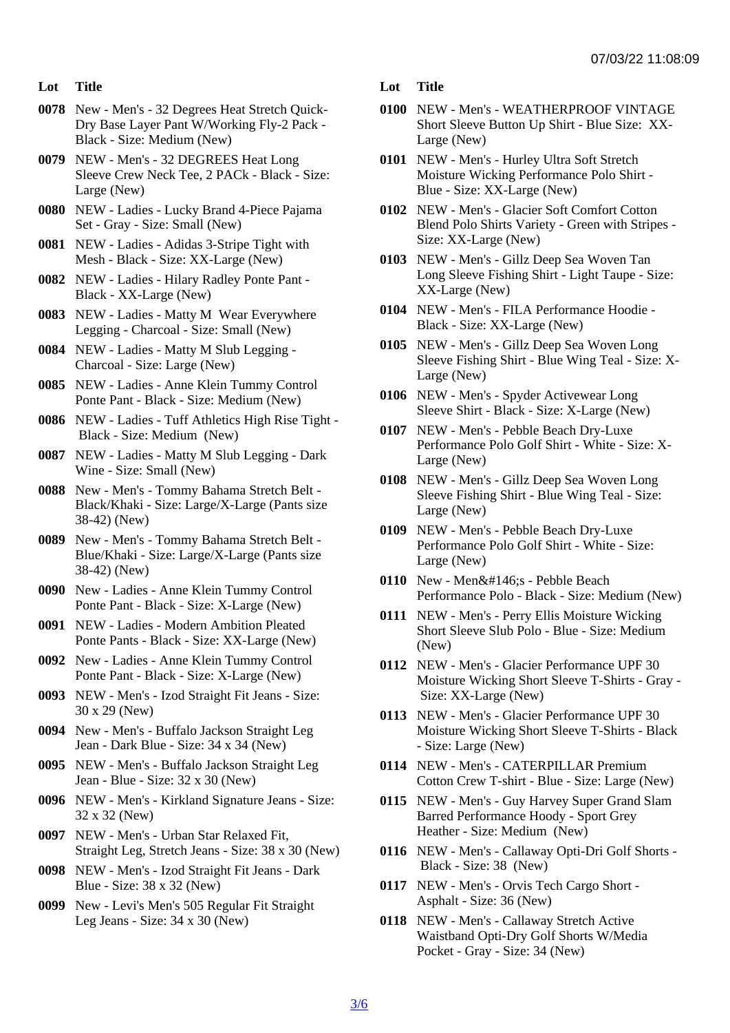- Lot Title
- 0078 New Men's 32 Degrees Heat Stretch Quick-Dry Base Layer Pant W/Working Fly-2 Pack - Black - Size: Medium (New)
- 0079 NEW Men's 32 DEGREES Heat Long Sleeve Crew Neck Tee, 2 PACk - Black - Size: Large (New)
- 0080 NEW Ladies Lucky Brand 4-Piece Pajama Set - Gray - Size: Small (New)
- 0081 NEW Ladies Adidas 3-Stripe Tight with Mesh - Black - Size: XX-Large (New)
- 0082 NEW Ladies Hilary Radley Ponte Pant Black - XX-Large (New)
- 0083 NEW Ladies Matty M Wear Everywhere Legging - Charcoal - Size: Small (New)
- 0084 NEW Ladies Matty M Slub Legging Charcoal - Size: Large (New)
- 0085 NEW Ladies Anne Klein Tummy Control Ponte Pant - Black - Size: Medium (New)
- 0086 NEW Ladies Tuff Athletics High Rise Tight Black - Size: Medium (New)
- 0087 NEW Ladies Matty M Slub Legging Dark Wine - Size: Small (New)
- 0088 New Men's Tommy Bahama Stretch Belt Black/Khaki - Size: Large/X-Large (Pants size 38-42) (New)
- 0089 New Men's Tommy Bahama Stretch Belt Blue/Khaki - Size: Large/X-Large (Pants size 38-42) (New)
- 0090 New Ladies Anne Klein Tummy Control Ponte Pant - Black - Size: X-Large (New)
- 0091 NEW Ladies Modern Ambition Pleated Ponte Pants - Black - Size: XX-Large (New)
- 0092 New Ladies Anne Klein Tummy Control Ponte Pant - Black - Size: X-Large (New)
- 0093 NEW Men's Izod Straight Fit Jeans Size: 30 x 29 (New)
- 0094 New Men's Buffalo Jackson Straight Leg Jean - Dark Blue - Size: 34 x 34 (New)
- 0095 NEW Men's Buffalo Jackson Straight Leg Jean - Blue - Size: 32 x 30 (New)
- 0096 NEW Men's Kirkland Signature Jeans Size: 32 x 32 (New)
- 0097 NEW Men's Urban Star Relaxed Fit, Straight Leg, Stretch Jeans - Size: 38 x 30 (New)
- 0098 NEW Men's Izod Straight Fit Jeans Dark Blue - Size: 38 x 32 (New)
- 0099 New Levi's Men's 505 Regular Fit Straight Leg Jeans - Size: 34 x 30 (New)
- Lot Title
- 0100 NEW Men's WEATHERPROOF VINTAGE Short Sleeve Button Up Shirt - Blue Size: XX-Large (New)
- 0101 NEW Men's Hurley Ultra Soft Stretch Moisture Wicking Performance Polo Shirt - Blue - Size: XX-Large (New)
- 0102 NEW Men's Glacier Soft Comfort Cotton Blend Polo Shirts Variety - Green with Stripes - Size: XX-Large (New)
- 0103 NEW Men's Gillz Deep Sea Woven Tan Long Sleeve Fishing Shirt - Light Taupe - Size: XX-Large (New)
- 0104 NEW Men's FILA Performance Hoodie Black - Size: XX-Large (New)
- 0105 NEW Men's Gillz Deep Sea Woven Long Sleeve Fishing Shirt - Blue Wing Teal - Size: X-Large (New)
- 0106 NEW Men's Spyder Activewear Long Sleeve Shirt - Black - Size: X-Large (New)
- 0107 NEW Men's Pebble Beach Dry-Luxe Performance Polo Golf Shirt - White - Size: X-Large (New)
- 0108 NEW Men's Gillz Deep Sea Woven Long Sleeve Fishing Shirt - Blue Wing Teal - Size: Large (New)
- 0109 NEW Men's Pebble Beach Dry-Luxe Performance Polo Golf Shirt - White - Size: Large (New)
- 0110 New Men's Pebble Beach Performance Polo - Black - Size: Medium (New)
- 0111 NEW Men's Perry Ellis Moisture Wicking Short Sleeve Slub Polo - Blue - Size: Medium (New)
- 0112 NEW Men's Glacier Performance UPF 30 Moisture Wicking Short Sleeve T-Shirts - Gray - Size: XX-Large (New)
- 0113 NEW Men's Glacier Performance UPF 30 Moisture Wicking Short Sleeve T-Shirts - Black - Size: Large (New)
- 0114 NEW Men's CATERPILLAR Premium Cotton Crew T-shirt - Blue - Size: Large (New)
- 0115 NEW Men's Guy Harvey Super Grand Slam Barred Performance Hoody - Sport Grey Heather - Size: Medium (New)
- 0116 NEW Men's Callaway Opti-Dri Golf Shorts Black - Size: 38 (New)
- 0117 NEW Men's Orvis Tech Cargo Short Asphalt - Size: 36 (New)
- 0118 NEW Men's Callaway Stretch Active Waistband Opti-Dry Golf Shorts W/Media Pocket - Gray - Size: 34 (New)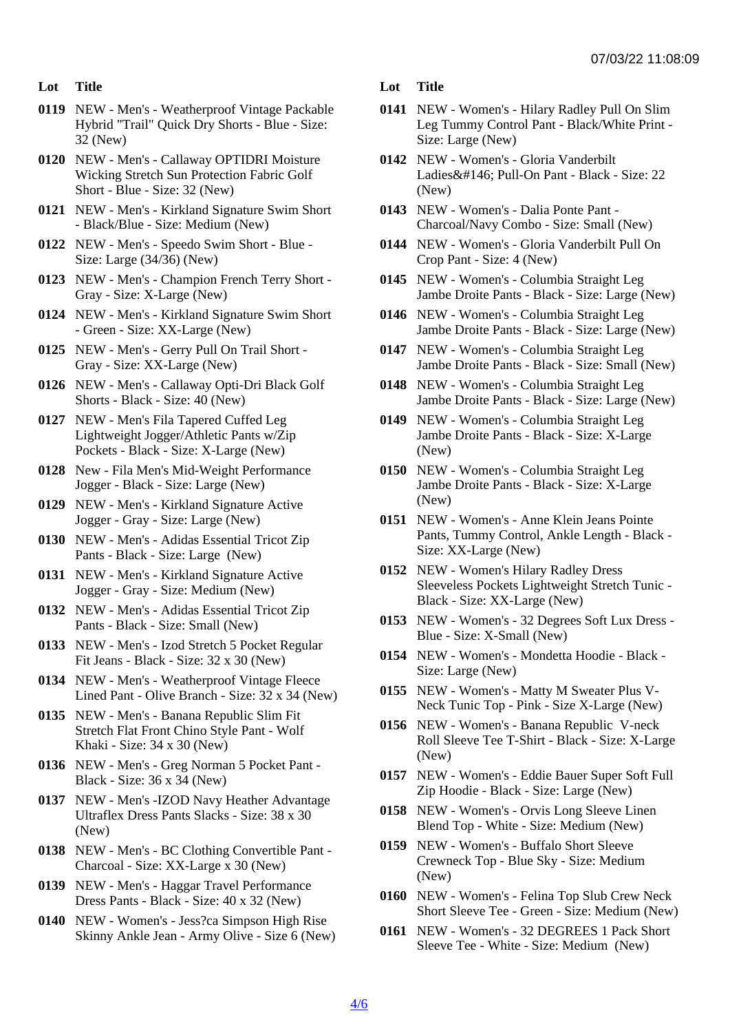- Lot Title
- 0119 NEW Men's Weatherproof Vintage Packable Hybrid "Trail" Quick Dry Shorts - Blue - Size: 32 (New)
- 0120 NEW Men's Callaway OPTIDRI Moisture Wicking Stretch Sun Protection Fabric Golf Short - Blue - Size: 32 (New)
- 0121 NEW Men's Kirkland Signature Swim Short - Black/Blue - Size: Medium (New)
- 0122 NEW Men's Speedo Swim Short Blue Size: Large (34/36) (New)
- 0123 NEW Men's Champion French Terry Short Gray - Size: X-Large (New)
- 0124 NEW Men's Kirkland Signature Swim Short - Green - Size: XX-Large (New)
- 0125 NEW Men's Gerry Pull On Trail Short Gray - Size: XX-Large (New)
- 0126 NEW Men's Callaway Opti-Dri Black Golf Shorts - Black - Size: 40 (New)
- 0127 NEW Men's Fila Tapered Cuffed Leg Lightweight Jogger/Athletic Pants w/Zip Pockets - Black - Size: X-Large (New)
- 0128 New Fila Men's Mid-Weight Performance Jogger - Black - Size: Large (New)
- 0129 NEW Men's Kirkland Signature Active Jogger - Gray - Size: Large (New)
- 0130 NEW Men's Adidas Essential Tricot Zip Pants - Black - Size: Large (New)
- 0131 NEW Men's Kirkland Signature Active Jogger - Gray - Size: Medium (New)
- 0132 NEW Men's Adidas Essential Tricot Zip Pants - Black - Size: Small (New)
- 0133 NEW Men's Izod Stretch 5 Pocket Regular Fit Jeans - Black - Size: 32 x 30 (New)
- 0134 NEW Men's Weatherproof Vintage Fleece Lined Pant - Olive Branch - Size: 32 x 34 (New)
- 0135 NEW Men's Banana Republic Slim Fit Stretch Flat Front Chino Style Pant - Wolf Khaki - Size: 34 x 30 (New)
- 0136 NEW Men's Greg Norman 5 Pocket Pant Black - Size: 36 x 34 (New)
- 0137 NEW Men's -IZOD Navy Heather Advantage Ultraflex Dress Pants Slacks - Size: 38 x 30 (New)
- 0138 NEW Men's BC Clothing Convertible Pant Charcoal - Size: XX-Large x 30 (New)
- 0139 NEW Men's Haggar Travel Performance Dress Pants - Black - Size: 40 x 32 (New)
- 0140 NEW Women's Jess?ca Simpson High Rise Skinny Ankle Jean - Army Olive - Size 6 (New)
- Lot Title
- 0141 NEW Women's Hilary Radley Pull On Slim Leg Tummy Control Pant - Black/White Print - Size: Large (New)
- 0142 NEW Women's Gloria Vanderbilt Ladies&#146: Pull-On Pant - Black - Size: 22 (New)
- 0143 NEW Women's Dalia Ponte Pant Charcoal/Navy Combo - Size: Small (New)
- 0144 NEW Women's Gloria Vanderbilt Pull On Crop Pant - Size: 4 (New)
- 0145 NEW Women's Columbia Straight Leg Jambe Droite Pants - Black - Size: Large (New)
- 0146 NEW Women's Columbia Straight Leg Jambe Droite Pants - Black - Size: Large (New)
- 0147 NEW Women's Columbia Straight Leg Jambe Droite Pants - Black - Size: Small (New)
- 0148 NEW Women's Columbia Straight Leg Jambe Droite Pants - Black - Size: Large (New)
- 0149 NEW Women's Columbia Straight Leg Jambe Droite Pants - Black - Size: X-Large (New)
- 0150 NEW Women's Columbia Straight Leg Jambe Droite Pants - Black - Size: X-Large (New)
- 0151 NEW Women's Anne Klein Jeans Pointe Pants, Tummy Control, Ankle Length - Black - Size: XX-Large (New)
- 0152 NEW Women's Hilary Radley Dress Sleeveless Pockets Lightweight Stretch Tunic - Black - Size: XX-Large (New)
- 0153 NEW Women's 32 Degrees Soft Lux Dress Blue - Size: X-Small (New)
- 0154 NEW Women's Mondetta Hoodie Black Size: Large (New)
- 0155 NEW Women's Matty M Sweater Plus V-Neck Tunic Top - Pink - Size X-Large (New)
- 0156 NEW Women's Banana Republic V-neck Roll Sleeve Tee T-Shirt - Black - Size: X-Large (New)
- 0157 NEW Women's Eddie Bauer Super Soft Full Zip Hoodie - Black - Size: Large (New)
- 0158 NEW Women's Orvis Long Sleeve Linen Blend Top - White - Size: Medium (New)
- 0159 NEW Women's Buffalo Short Sleeve Crewneck Top - Blue Sky - Size: Medium (New)
- 0160 NEW Women's Felina Top Slub Crew Neck Short Sleeve Tee - Green - Size: Medium (New)
- 0161 NEW Women's 32 DEGREES 1 Pack Short Sleeve Tee - White - Size: Medium (New)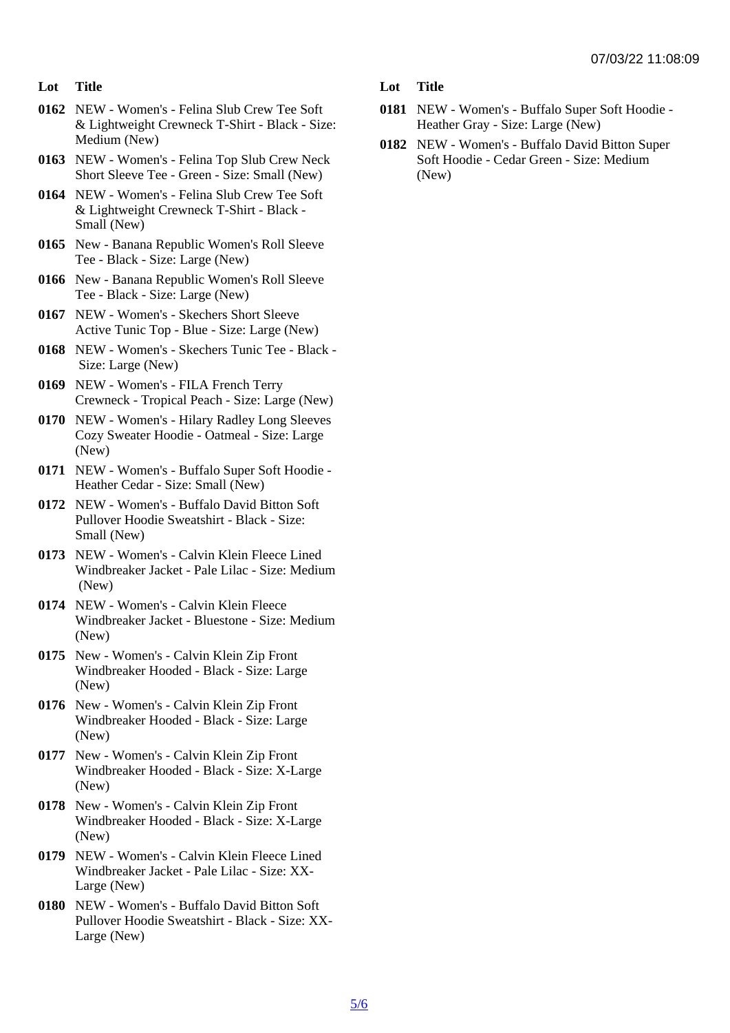- Lot Title
- 0162 NEW Women's Felina Slub Crew Tee Soft & Lightweight Crewneck T-Shirt - Black - Size: Medium (New)
- 0163 NEW Women's Felina Top Slub Crew Neck Short Sleeve Tee - Green - Size: Small (New)
- 0164 NEW Women's Felina Slub Crew Tee Soft & Lightweight Crewneck T-Shirt - Black - Small (New)
- 0165 New Banana Republic Women's Roll Sleeve Tee - Black - Size: Large (New)
- 0166 New Banana Republic Women's Roll Sleeve Tee - Black - Size: Large (New)
- 0167 NEW Women's Skechers Short Sleeve Active Tunic Top - Blue - Size: Large (New)
- 0168 NEW Women's Skechers Tunic Tee Black Size: Large (New)
- 0169 NEW Women's FILA French Terry Crewneck - Tropical Peach - Size: Large (New)
- 0170 NEW Women's Hilary Radley Long Sleeves Cozy Sweater Hoodie - Oatmeal - Size: Large (New)
- 0171 NEW Women's Buffalo Super Soft Hoodie Heather Cedar - Size: Small (New)
- 0172 NEW Women's Buffalo David Bitton Soft Pullover Hoodie Sweatshirt - Black - Size: Small (New)
- 0173 NEW Women's Calvin Klein Fleece Lined Windbreaker Jacket - Pale Lilac - Size: Medium (New)
- 0174 NEW Women's Calvin Klein Fleece Windbreaker Jacket - Bluestone - Size: Medium (New)
- 0175 New Women's Calvin Klein Zip Front Windbreaker Hooded - Black - Size: Large (New)
- 0176 New Women's Calvin Klein Zip Front Windbreaker Hooded - Black - Size: Large (New)
- 0177 New Women's Calvin Klein Zip Front Windbreaker Hooded - Black - Size: X-Large (New)
- 0178 New Women's Calvin Klein Zip Front Windbreaker Hooded - Black - Size: X-Large (New)
- 0179 NEW Women's Calvin Klein Fleece Lined Windbreaker Jacket - Pale Lilac - Size: XX-Large (New)
- 0180 NEW Women's Buffalo David Bitton Soft Pullover Hoodie Sweatshirt - Black - Size: XX-Large (New)
- Lot Title
- 0181 NEW Women's Buffalo Super Soft Hoodie Heather Gray - Size: Large (New)
- 0182 NEW Women's Buffalo David Bitton Super Soft Hoodie - Cedar Green - Size: Medium (New)